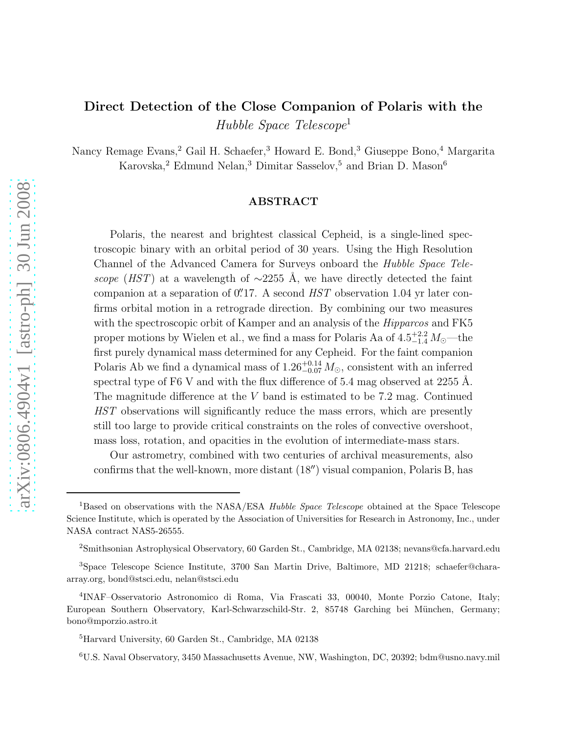# Direct Detection of the Close Companion of Polaris with the Hubble Space Telescope<sup>1</sup>

Nancy Remage Evans,<sup>2</sup> Gail H. Schaefer,<sup>3</sup> Howard E. Bond,<sup>3</sup> Giuseppe Bono,<sup>4</sup> Margarita Karovska,<sup>2</sup> Edmund Nelan,<sup>3</sup> Dimitar Sasselov,<sup>5</sup> and Brian D. Mason<sup>6</sup>

# ABSTRACT

Polaris, the nearest and brightest classical Cepheid, is a single-lined spectroscopic binary with an orbital period of 30 years. Using the High Resolution Channel of the Advanced Camera for Surveys onboard the Hubble Space Telescope (HST) at a wavelength of  $\sim$ 2255 Å, we have directly detected the faint companion at a separation of  $0''$ 17. A second  $HST$  observation 1.04 yr later confirms orbital motion in a retrograde direction. By combining our two measures with the spectroscopic orbit of Kamper and an analysis of the *Hipparcos* and FK5 proper motions by Wielen et al., we find a mass for Polaris Aa of  $4.5^{+2.2}_{-1.4} M_{\odot}$ —the first purely dynamical mass determined for any Cepheid. For the faint companion Polaris Ab we find a dynamical mass of  $1.26_{-0.07}^{+0.14} M_{\odot}$ , consistent with an inferred spectral type of F6 V and with the flux difference of 5.4 mag observed at 2255 Å. The magnitude difference at the V band is estimated to be 7.2 mag. Continued HST observations will significantly reduce the mass errors, which are presently still too large to provide critical constraints on the roles of convective overshoot, mass loss, rotation, and opacities in the evolution of intermediate-mass stars.

Our astrometry, combined with two centuries of archival measurements, also confirms that the well-known, more distant (18′′) visual companion, Polaris B, has

<sup>&</sup>lt;sup>1</sup>Based on observations with the NASA/ESA *Hubble Space Telescope* obtained at the Space Telescope Science Institute, which is operated by the Association of Universities for Research in Astronomy, Inc., under NASA contract NAS5-26555.

<sup>2</sup>Smithsonian Astrophysical Observatory, 60 Garden St., Cambridge, MA 02138; nevans@cfa.harvard.edu

<sup>3</sup>Space Telescope Science Institute, 3700 San Martin Drive, Baltimore, MD 21218; schaefer@charaarray.org, bond@stsci.edu, nelan@stsci.edu

<sup>4</sup> INAF–Osservatorio Astronomico di Roma, Via Frascati 33, 00040, Monte Porzio Catone, Italy; European Southern Observatory, Karl-Schwarzschild-Str. 2, 85748 Garching bei München, Germany; bono@mporzio.astro.it

<sup>5</sup>Harvard University, 60 Garden St., Cambridge, MA 02138

<sup>6</sup>U.S. Naval Observatory, 3450 Massachusetts Avenue, NW, Washington, DC, 20392; bdm@usno.navy.mil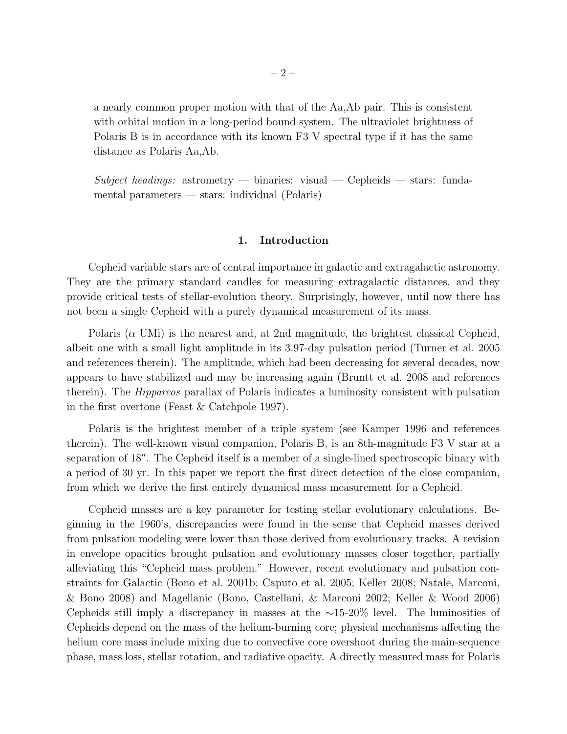a nearly common proper motion with that of the Aa,Ab pair. This is consistent with orbital motion in a long-period bound system. The ultraviolet brightness of Polaris B is in accordance with its known F3 V spectral type if it has the same distance as Polaris Aa,Ab.

Subject headings: astrometry — binaries: visual — Cepheids — stars: fundamental parameters — stars: individual (Polaris)

# 1. Introduction

Cepheid variable stars are of central importance in galactic and extragalactic astronomy. They are the primary standard candles for measuring extragalactic distances, and they provide critical tests of stellar-evolution theory. Surprisingly, however, until now there has not been a single Cepheid with a purely dynamical measurement of its mass.

Polaris ( $\alpha$  UMi) is the nearest and, at 2nd magnitude, the brightest classical Cepheid, albeit one with a small light amplitude in its 3.97-day pulsation period (Turner et al. 2005 and references therein). The amplitude, which had been decreasing for several decades, now appears to have stabilized and may be increasing again (Bruntt et al. 2008 and references therein). The Hipparcos parallax of Polaris indicates a luminosity consistent with pulsation in the first overtone (Feast & Catchpole 1997).

Polaris is the brightest member of a triple system (see Kamper 1996 and references therein). The well-known visual companion, Polaris B, is an 8th-magnitude F3 V star at a separation of 18′′. The Cepheid itself is a member of a single-lined spectroscopic binary with a period of 30 yr. In this paper we report the first direct detection of the close companion, from which we derive the first entirely dynamical mass measurement for a Cepheid.

Cepheid masses are a key parameter for testing stellar evolutionary calculations. Beginning in the 1960's, discrepancies were found in the sense that Cepheid masses derived from pulsation modeling were lower than those derived from evolutionary tracks. A revision in envelope opacities brought pulsation and evolutionary masses closer together, partially alleviating this "Cepheid mass problem." However, recent evolutionary and pulsation constraints for Galactic (Bono et al. 2001b; Caputo et al. 2005; Keller 2008; Natale, Marconi, & Bono 2008) and Magellanic (Bono, Castellani, & Marconi 2002; Keller & Wood 2006) Cepheids still imply a discrepancy in masses at the ∼15-20% level. The luminosities of Cepheids depend on the mass of the helium-burning core; physical mechanisms affecting the helium core mass include mixing due to convective core overshoot during the main-sequence phase, mass loss, stellar rotation, and radiative opacity. A directly measured mass for Polaris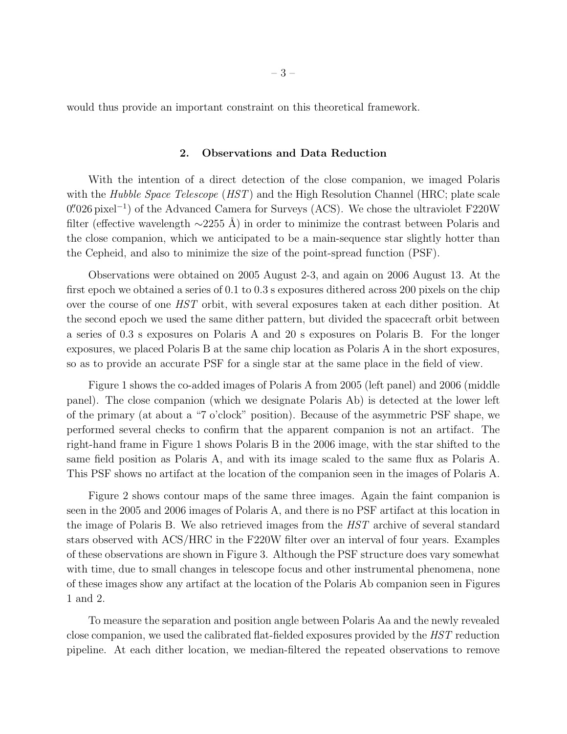would thus provide an important constraint on this theoretical framework.

# 2. Observations and Data Reduction

With the intention of a direct detection of the close companion, we imaged Polaris with the Hubble Space Telescope  $(HST)$  and the High Resolution Channel (HRC; plate scale 0".026 pixel<sup>-1</sup>) of the Advanced Camera for Surveys (ACS). We chose the ultraviolet F220W filter (effective wavelength  $\sim$ 2255 Å) in order to minimize the contrast between Polaris and the close companion, which we anticipated to be a main-sequence star slightly hotter than the Cepheid, and also to minimize the size of the point-spread function (PSF).

Observations were obtained on 2005 August 2-3, and again on 2006 August 13. At the first epoch we obtained a series of 0.1 to 0.3 s exposures dithered across 200 pixels on the chip over the course of one HST orbit, with several exposures taken at each dither position. At the second epoch we used the same dither pattern, but divided the spacecraft orbit between a series of 0.3 s exposures on Polaris A and 20 s exposures on Polaris B. For the longer exposures, we placed Polaris B at the same chip location as Polaris A in the short exposures, so as to provide an accurate PSF for a single star at the same place in the field of view.

Figure 1 shows the co-added images of Polaris A from 2005 (left panel) and 2006 (middle panel). The close companion (which we designate Polaris Ab) is detected at the lower left of the primary (at about a "7 o'clock" position). Because of the asymmetric PSF shape, we performed several checks to confirm that the apparent companion is not an artifact. The right-hand frame in Figure 1 shows Polaris B in the 2006 image, with the star shifted to the same field position as Polaris A, and with its image scaled to the same flux as Polaris A. This PSF shows no artifact at the location of the companion seen in the images of Polaris A.

Figure 2 shows contour maps of the same three images. Again the faint companion is seen in the 2005 and 2006 images of Polaris A, and there is no PSF artifact at this location in the image of Polaris B. We also retrieved images from the HST archive of several standard stars observed with ACS/HRC in the F220W filter over an interval of four years. Examples of these observations are shown in Figure 3. Although the PSF structure does vary somewhat with time, due to small changes in telescope focus and other instrumental phenomena, none of these images show any artifact at the location of the Polaris Ab companion seen in Figures 1 and 2.

To measure the separation and position angle between Polaris Aa and the newly revealed close companion, we used the calibrated flat-fielded exposures provided by the HST reduction pipeline. At each dither location, we median-filtered the repeated observations to remove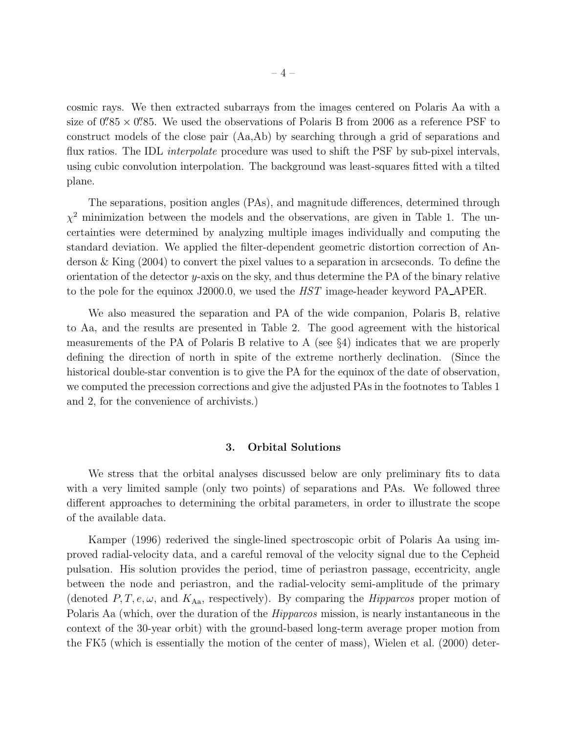cosmic rays. We then extracted subarrays from the images centered on Polaris Aa with a size of  $0.^{\prime\prime}85\times0.^{\prime\prime}85$ . We used the observations of Polaris B from 2006 as a reference PSF to construct models of the close pair (Aa,Ab) by searching through a grid of separations and flux ratios. The IDL *interpolate* procedure was used to shift the PSF by sub-pixel intervals, using cubic convolution interpolation. The background was least-squares fitted with a tilted plane.

The separations, position angles (PAs), and magnitude differences, determined through  $\chi^2$  minimization between the models and the observations, are given in Table 1. The uncertainties were determined by analyzing multiple images individually and computing the standard deviation. We applied the filter-dependent geometric distortion correction of Anderson & King (2004) to convert the pixel values to a separation in arcseconds. To define the orientation of the detector y-axis on the sky, and thus determine the PA of the binary relative to the pole for the equinox J2000.0, we used the HST image-header keyword PA APER.

We also measured the separation and PA of the wide companion, Polaris B, relative to Aa, and the results are presented in Table 2. The good agreement with the historical measurements of the PA of Polaris B relative to A (see §4) indicates that we are properly defining the direction of north in spite of the extreme northerly declination. (Since the historical double-star convention is to give the PA for the equinox of the date of observation, we computed the precession corrections and give the adjusted PAs in the footnotes to Tables 1 and 2, for the convenience of archivists.)

## 3. Orbital Solutions

We stress that the orbital analyses discussed below are only preliminary fits to data with a very limited sample (only two points) of separations and PAs. We followed three different approaches to determining the orbital parameters, in order to illustrate the scope of the available data.

Kamper (1996) rederived the single-lined spectroscopic orbit of Polaris Aa using improved radial-velocity data, and a careful removal of the velocity signal due to the Cepheid pulsation. His solution provides the period, time of periastron passage, eccentricity, angle between the node and periastron, and the radial-velocity semi-amplitude of the primary (denoted  $P, T, e, \omega$ , and  $K_{Aa}$ , respectively). By comparing the *Hipparcos* proper motion of Polaris Aa (which, over the duration of the *Hipparcos* mission, is nearly instantaneous in the context of the 30-year orbit) with the ground-based long-term average proper motion from the FK5 (which is essentially the motion of the center of mass), Wielen et al. (2000) deter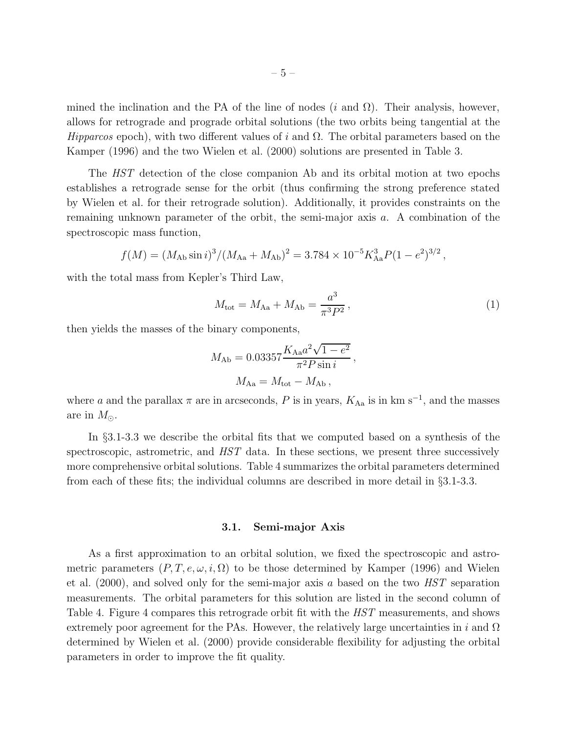mined the inclination and the PA of the line of nodes (i and  $\Omega$ ). Their analysis, however, allows for retrograde and prograde orbital solutions (the two orbits being tangential at the Hipparcos epoch), with two different values of i and  $\Omega$ . The orbital parameters based on the Kamper (1996) and the two Wielen et al. (2000) solutions are presented in Table 3.

The HST detection of the close companion Ab and its orbital motion at two epochs establishes a retrograde sense for the orbit (thus confirming the strong preference stated by Wielen et al. for their retrograde solution). Additionally, it provides constraints on the remaining unknown parameter of the orbit, the semi-major axis a. A combination of the spectroscopic mass function,

$$
f(M) = (M_{\rm Ab} \sin i)^3 / (M_{\rm Aa} + M_{\rm Ab})^2 = 3.784 \times 10^{-5} K_{\rm Aa}^3 P (1 - e^2)^{3/2},
$$

with the total mass from Kepler's Third Law,

$$
M_{\text{tot}} = M_{\text{Aa}} + M_{\text{Ab}} = \frac{a^3}{\pi^3 P^2},\tag{1}
$$

then yields the masses of the binary components,

$$
M_{\rm Ab} = 0.03357 \frac{K_{\rm Aa} a^2 \sqrt{1 - e^2}}{\pi^2 P \sin i},
$$
  

$$
M_{\rm Aa} = M_{\rm tot} - M_{\rm Ab},
$$

where a and the parallax  $\pi$  are in arcseconds, P is in years,  $K_{Aa}$  is in km s<sup>-1</sup>, and the masses are in  $M_{\odot}$ .

In §3.1-3.3 we describe the orbital fits that we computed based on a synthesis of the spectroscopic, astrometric, and HST data. In these sections, we present three successively more comprehensive orbital solutions. Table 4 summarizes the orbital parameters determined from each of these fits; the individual columns are described in more detail in §3.1-3.3.

## 3.1. Semi-major Axis

As a first approximation to an orbital solution, we fixed the spectroscopic and astrometric parameters  $(P, T, e, \omega, i, \Omega)$  to be those determined by Kamper (1996) and Wielen et al.  $(2000)$ , and solved only for the semi-major axis a based on the two  $HST$  separation measurements. The orbital parameters for this solution are listed in the second column of Table 4. Figure 4 compares this retrograde orbit fit with the *HST* measurements, and shows extremely poor agreement for the PAs. However, the relatively large uncertainties in i and  $\Omega$ determined by Wielen et al. (2000) provide considerable flexibility for adjusting the orbital parameters in order to improve the fit quality.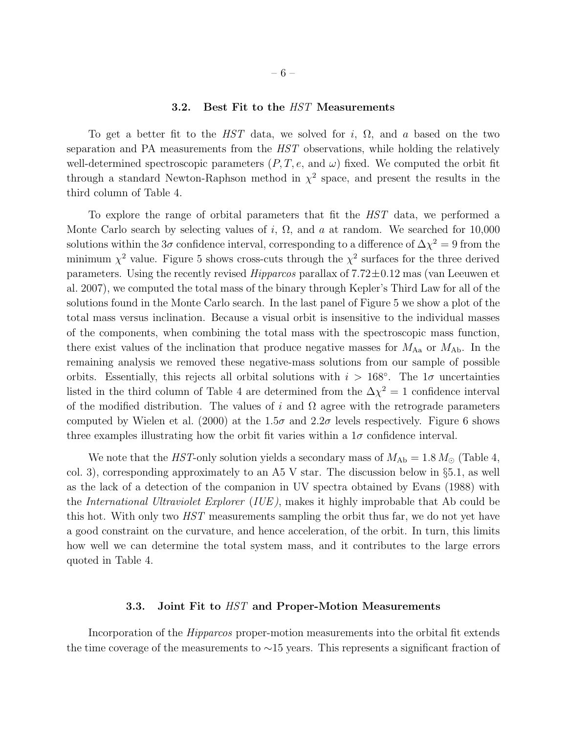#### 3.2. Best Fit to the HST Measurements

To get a better fit to the HST data, we solved for i,  $\Omega$ , and a based on the two separation and PA measurements from the HST observations, while holding the relatively well-determined spectroscopic parameters  $(P, T, e, \text{ and } \omega)$  fixed. We computed the orbit fit through a standard Newton-Raphson method in  $\chi^2$  space, and present the results in the third column of Table 4.

To explore the range of orbital parameters that fit the HST data, we performed a Monte Carlo search by selecting values of i,  $\Omega$ , and a at random. We searched for 10,000 solutions within the 3 $\sigma$  confidence interval, corresponding to a difference of  $\Delta \chi^2 = 9$  from the minimum  $\chi^2$  value. Figure 5 shows cross-cuts through the  $\chi^2$  surfaces for the three derived parameters. Using the recently revised  $Hipparcos$  parallax of  $7.72\pm0.12$  mas (van Leeuwen et al. 2007), we computed the total mass of the binary through Kepler's Third Law for all of the solutions found in the Monte Carlo search. In the last panel of Figure 5 we show a plot of the total mass versus inclination. Because a visual orbit is insensitive to the individual masses of the components, when combining the total mass with the spectroscopic mass function, there exist values of the inclination that produce negative masses for  $M_{\rm Aa}$  or  $M_{\rm Ab}$ . In the remaining analysis we removed these negative-mass solutions from our sample of possible orbits. Essentially, this rejects all orbital solutions with  $i > 168^\circ$ . The  $1\sigma$  uncertainties listed in the third column of Table 4 are determined from the  $\Delta \chi^2 = 1$  confidence interval of the modified distribution. The values of i and  $\Omega$  agree with the retrograde parameters computed by Wielen et al. (2000) at the  $1.5\sigma$  and  $2.2\sigma$  levels respectively. Figure 6 shows three examples illustrating how the orbit fit varies within a  $1\sigma$  confidence interval.

We note that the HST-only solution yields a secondary mass of  $M_{\rm Ab} = 1.8 M_{\odot}$  (Table 4, col. 3), corresponding approximately to an A5 V star. The discussion below in §5.1, as well as the lack of a detection of the companion in UV spectra obtained by Evans (1988) with the International Ultraviolet Explorer (IUE ), makes it highly improbable that Ab could be this hot. With only two *HST* measurements sampling the orbit thus far, we do not yet have a good constraint on the curvature, and hence acceleration, of the orbit. In turn, this limits how well we can determine the total system mass, and it contributes to the large errors quoted in Table 4.

## 3.3. Joint Fit to *HST* and Proper-Motion Measurements

Incorporation of the *Hipparcos* proper-motion measurements into the orbital fit extends the time coverage of the measurements to ∼15 years. This represents a significant fraction of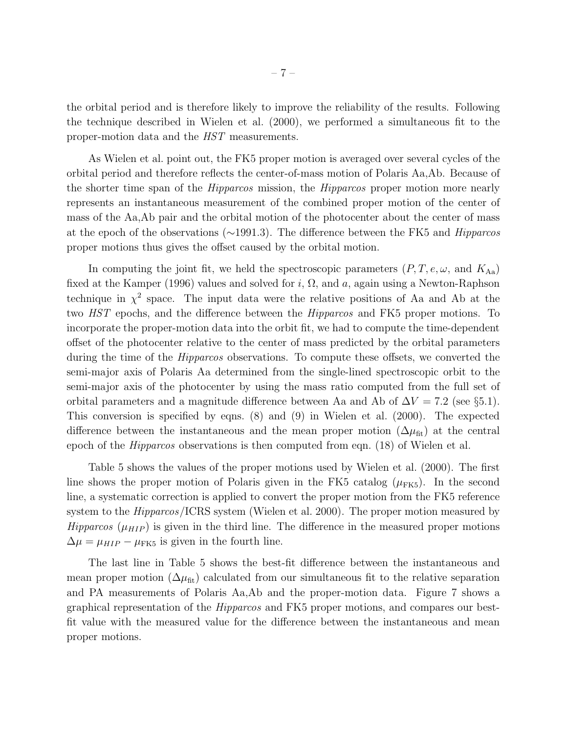the orbital period and is therefore likely to improve the reliability of the results. Following the technique described in Wielen et al. (2000), we performed a simultaneous fit to the proper-motion data and the HST measurements.

As Wielen et al. point out, the FK5 proper motion is averaged over several cycles of the orbital period and therefore reflects the center-of-mass motion of Polaris Aa,Ab. Because of the shorter time span of the Hipparcos mission, the Hipparcos proper motion more nearly represents an instantaneous measurement of the combined proper motion of the center of mass of the Aa,Ab pair and the orbital motion of the photocenter about the center of mass at the epoch of the observations (∼1991.3). The difference between the FK5 and Hipparcos proper motions thus gives the offset caused by the orbital motion.

In computing the joint fit, we held the spectroscopic parameters  $(P, T, e, \omega, \text{ and } K_{\text{Aa}})$ fixed at the Kamper (1996) values and solved for i,  $\Omega$ , and a, again using a Newton-Raphson technique in  $\chi^2$  space. The input data were the relative positions of Aa and Ab at the two HST epochs, and the difference between the Hipparcos and FK5 proper motions. To incorporate the proper-motion data into the orbit fit, we had to compute the time-dependent offset of the photocenter relative to the center of mass predicted by the orbital parameters during the time of the Hipparcos observations. To compute these offsets, we converted the semi-major axis of Polaris Aa determined from the single-lined spectroscopic orbit to the semi-major axis of the photocenter by using the mass ratio computed from the full set of orbital parameters and a magnitude difference between Aa and Ab of  $\Delta V = 7.2$  (see §5.1). This conversion is specified by eqns. (8) and (9) in Wielen et al. (2000). The expected difference between the instantaneous and the mean proper motion  $(\Delta \mu_{\text{fit}})$  at the central epoch of the Hipparcos observations is then computed from eqn. (18) of Wielen et al.

Table 5 shows the values of the proper motions used by Wielen et al. (2000). The first line shows the proper motion of Polaris given in the FK5 catalog  $(\mu$ <sub>FK5</sub>). In the second line, a systematic correction is applied to convert the proper motion from the FK5 reference system to the *Hipparcos*/ICRS system (Wielen et al. 2000). The proper motion measured by *Hipparcos* ( $\mu_{HIP}$ ) is given in the third line. The difference in the measured proper motions  $\Delta \mu = \mu_{HIP} - \mu_{FK5}$  is given in the fourth line.

The last line in Table 5 shows the best-fit difference between the instantaneous and mean proper motion ( $\Delta \mu_{\text{fit}}$ ) calculated from our simultaneous fit to the relative separation and PA measurements of Polaris Aa,Ab and the proper-motion data. Figure 7 shows a graphical representation of the Hipparcos and FK5 proper motions, and compares our bestfit value with the measured value for the difference between the instantaneous and mean proper motions.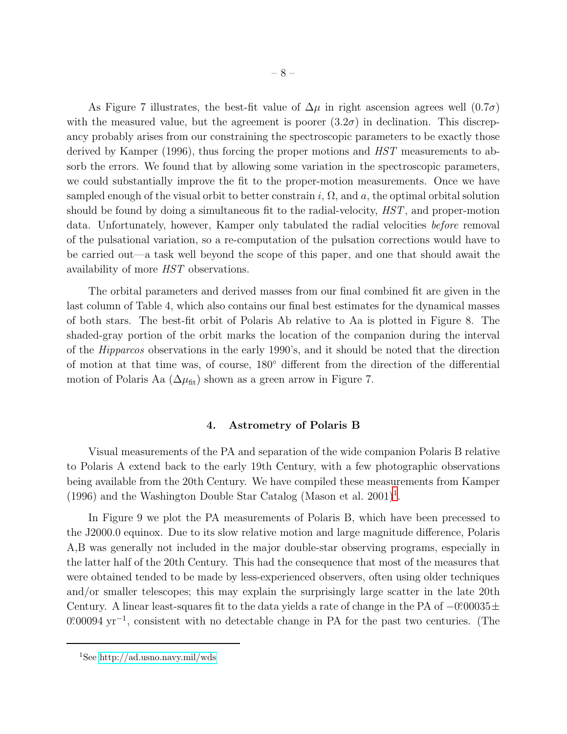As Figure 7 illustrates, the best-fit value of  $\Delta\mu$  in right ascension agrees well  $(0.7\sigma)$ with the measured value, but the agreement is poorer  $(3.2\sigma)$  in declination. This discrepancy probably arises from our constraining the spectroscopic parameters to be exactly those derived by Kamper (1996), thus forcing the proper motions and HST measurements to absorb the errors. We found that by allowing some variation in the spectroscopic parameters, we could substantially improve the fit to the proper-motion measurements. Once we have sampled enough of the visual orbit to better constrain i,  $\Omega$ , and a, the optimal orbital solution should be found by doing a simultaneous fit to the radial-velocity, HST, and proper-motion data. Unfortunately, however, Kamper only tabulated the radial velocities before removal of the pulsational variation, so a re-computation of the pulsation corrections would have to be carried out—a task well beyond the scope of this paper, and one that should await the availability of more HST observations.

The orbital parameters and derived masses from our final combined fit are given in the last column of Table 4, which also contains our final best estimates for the dynamical masses of both stars. The best-fit orbit of Polaris Ab relative to Aa is plotted in Figure 8. The shaded-gray portion of the orbit marks the location of the companion during the interval of the Hipparcos observations in the early 1990's, and it should be noted that the direction of motion at that time was, of course, 180◦ different from the direction of the differential motion of Polaris Aa  $(\Delta \mu_{\text{fit}})$  shown as a green arrow in Figure 7.

## 4. Astrometry of Polaris B

Visual measurements of the PA and separation of the wide companion Polaris B relative to Polaris A extend back to the early 19th Century, with a few photographic observations being available from the 20th Century. We have compiled these measurements from Kamper ([1](#page-7-0)996) and the Washington Double Star Catalog (Mason et al.  $2001$ )<sup>1</sup>.

In Figure 9 we plot the PA measurements of Polaris B, which have been precessed to the J2000.0 equinox. Due to its slow relative motion and large magnitude difference, Polaris A,B was generally not included in the major double-star observing programs, especially in the latter half of the 20th Century. This had the consequence that most of the measures that were obtained tended to be made by less-experienced observers, often using older techniques and/or smaller telescopes; this may explain the surprisingly large scatter in the late 20th Century. A linear least-squares fit to the data yields a rate of change in the PA of  $-0.00035 \pm 0.00035$ 0.00094 yr<sup>-1</sup>, consistent with no detectable change in PA for the past two centuries. (The

<span id="page-7-0"></span><sup>&</sup>lt;sup>1</sup>See<http://ad.usno.navy.mil/wds>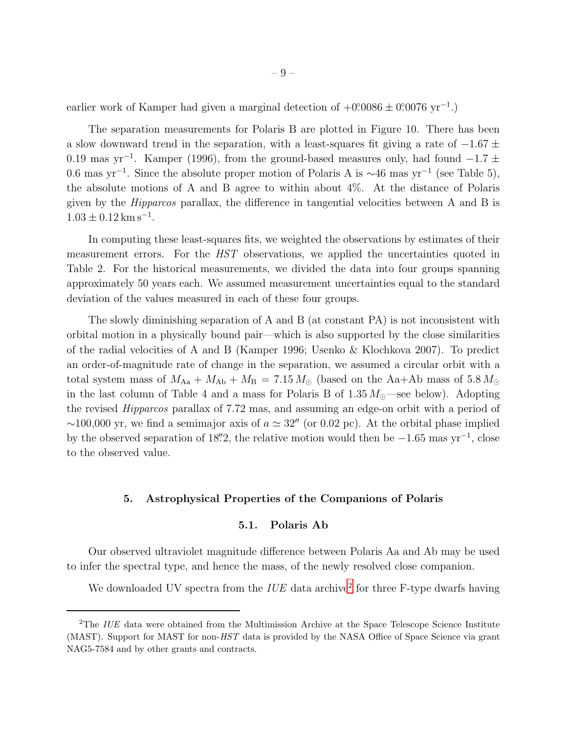earlier work of Kamper had given a marginal detection of  $+0.0086 \pm 0.0076$  yr<sup>-1</sup>.)

The separation measurements for Polaris B are plotted in Figure 10. There has been a slow downward trend in the separation, with a least-squares fit giving a rate of  $-1.67 \pm$ 0.19 mas yr<sup>-1</sup>. Kamper (1996), from the ground-based measures only, had found  $-1.7 \pm$ 0.6 mas yr<sup>-1</sup>. Since the absolute proper motion of Polaris A is  $\sim$ 46 mas yr<sup>-1</sup> (see Table 5), the absolute motions of A and B agree to within about 4%. At the distance of Polaris given by the Hipparcos parallax, the difference in tangential velocities between A and B is  $1.03 \pm 0.12$  km s<sup>-1</sup>.

In computing these least-squares fits, we weighted the observations by estimates of their measurement errors. For the HST observations, we applied the uncertainties quoted in Table 2. For the historical measurements, we divided the data into four groups spanning approximately 50 years each. We assumed measurement uncertainties equal to the standard deviation of the values measured in each of these four groups.

The slowly diminishing separation of A and B (at constant PA) is not inconsistent with orbital motion in a physically bound pair—which is also supported by the close similarities of the radial velocities of A and B (Kamper 1996; Usenko & Klochkova 2007). To predict an order-of-magnitude rate of change in the separation, we assumed a circular orbit with a total system mass of  $M_{\rm Aa} + M_{\rm Ab} + M_{\rm B} = 7.15 M_{\odot}$  (based on the Aa+Ab mass of 5.8  $M_{\odot}$ in the last column of Table 4 and a mass for Polaris B of  $1.35 M_{\odot}$ —see below). Adopting the revised Hipparcos parallax of 7.72 mas, and assuming an edge-on orbit with a period of  $\sim$ 100,000 yr, we find a semimajor axis of  $a \approx 32''$  (or 0.02 pc). At the orbital phase implied by the observed separation of 18", the relative motion would then be  $-1.65$  mas yr<sup>-1</sup>, close to the observed value.

## 5. Astrophysical Properties of the Companions of Polaris

# 5.1. Polaris Ab

Our observed ultraviolet magnitude difference between Polaris Aa and Ab may be used to infer the spectral type, and hence the mass, of the newly resolved close companion.

We downloaded UV spectra from the  $IUE$  data archive<sup>[2](#page-16-0)</sup> for three F-type dwarfs having

<sup>&</sup>lt;sup>2</sup>The IUE data were obtained from the Multimission Archive at the Space Telescope Science Institute (MAST). Support for MAST for non-HST data is provided by the NASA Office of Space Science via grant NAG5-7584 and by other grants and contracts.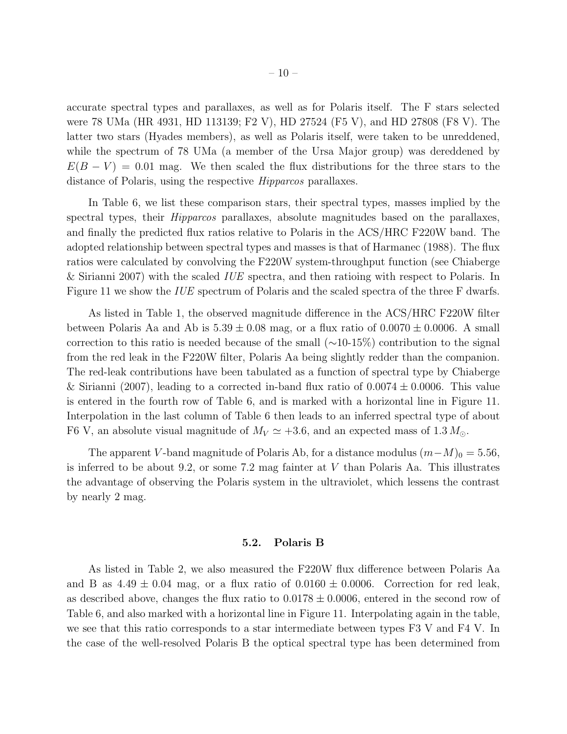accurate spectral types and parallaxes, as well as for Polaris itself. The F stars selected were 78 UMa (HR 4931, HD 113139; F2 V), HD 27524 (F5 V), and HD 27808 (F8 V). The latter two stars (Hyades members), as well as Polaris itself, were taken to be unreddened, while the spectrum of 78 UMa (a member of the Ursa Major group) was dereddened by  $E(B - V) = 0.01$  mag. We then scaled the flux distributions for the three stars to the distance of Polaris, using the respective *Hipparcos* parallaxes.

In Table 6, we list these comparison stars, their spectral types, masses implied by the spectral types, their *Hipparcos* parallaxes, absolute magnitudes based on the parallaxes, and finally the predicted flux ratios relative to Polaris in the ACS/HRC F220W band. The adopted relationship between spectral types and masses is that of Harmanec (1988). The flux ratios were calculated by convolving the F220W system-throughput function (see Chiaberge & Sirianni 2007) with the scaled IUE spectra, and then ratioing with respect to Polaris. In Figure 11 we show the *IUE* spectrum of Polaris and the scaled spectra of the three F dwarfs.

As listed in Table 1, the observed magnitude difference in the ACS/HRC F220W filter between Polaris Aa and Ab is  $5.39 \pm 0.08$  mag, or a flux ratio of  $0.0070 \pm 0.0006$ . A small correction to this ratio is needed because of the small (∼10-15%) contribution to the signal from the red leak in the F220W filter, Polaris Aa being slightly redder than the companion. The red-leak contributions have been tabulated as a function of spectral type by Chiaberge & Sirianni (2007), leading to a corrected in-band flux ratio of  $0.0074 \pm 0.0006$ . This value is entered in the fourth row of Table 6, and is marked with a horizontal line in Figure 11. Interpolation in the last column of Table 6 then leads to an inferred spectral type of about F6 V, an absolute visual magnitude of  $M_V \simeq +3.6$ , and an expected mass of 1.3  $M_{\odot}$ .

The apparent V-band magnitude of Polaris Ab, for a distance modulus  $(m-M)_0 = 5.56$ , is inferred to be about 9.2, or some 7.2 mag fainter at V than Polaris Aa. This illustrates the advantage of observing the Polaris system in the ultraviolet, which lessens the contrast by nearly 2 mag.

#### 5.2. Polaris B

As listed in Table 2, we also measured the F220W flux difference between Polaris Aa and B as  $4.49 \pm 0.04$  mag, or a flux ratio of  $0.0160 \pm 0.0006$ . Correction for red leak, as described above, changes the flux ratio to  $0.0178 \pm 0.0006$ , entered in the second row of Table 6, and also marked with a horizontal line in Figure 11. Interpolating again in the table, we see that this ratio corresponds to a star intermediate between types F3 V and F4 V. In the case of the well-resolved Polaris B the optical spectral type has been determined from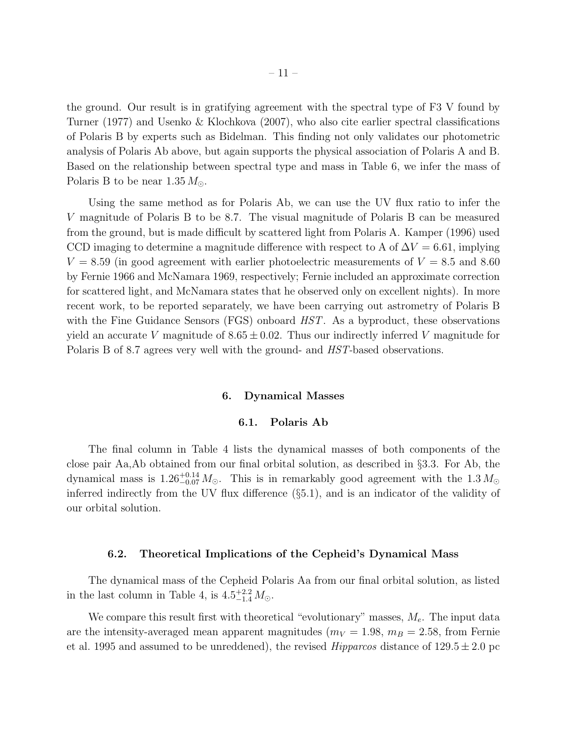the ground. Our result is in gratifying agreement with the spectral type of F3 V found by Turner (1977) and Usenko & Klochkova (2007), who also cite earlier spectral classifications of Polaris B by experts such as Bidelman. This finding not only validates our photometric analysis of Polaris Ab above, but again supports the physical association of Polaris A and B. Based on the relationship between spectral type and mass in Table 6, we infer the mass of Polaris B to be near  $1.35 M_{\odot}$ .

Using the same method as for Polaris Ab, we can use the UV flux ratio to infer the V magnitude of Polaris B to be 8.7. The visual magnitude of Polaris B can be measured from the ground, but is made difficult by scattered light from Polaris A. Kamper (1996) used CCD imaging to determine a magnitude difference with respect to A of  $\Delta V = 6.61$ , implying  $V = 8.59$  (in good agreement with earlier photoelectric measurements of  $V = 8.5$  and 8.60 by Fernie 1966 and McNamara 1969, respectively; Fernie included an approximate correction for scattered light, and McNamara states that he observed only on excellent nights). In more recent work, to be reported separately, we have been carrying out astrometry of Polaris B with the Fine Guidance Sensors (FGS) onboard *HST*. As a byproduct, these observations yield an accurate V magnitude of  $8.65 \pm 0.02$ . Thus our indirectly inferred V magnitude for Polaris B of 8.7 agrees very well with the ground- and  $HST$ -based observations.

#### 6. Dynamical Masses

## 6.1. Polaris Ab

The final column in Table 4 lists the dynamical masses of both components of the close pair Aa,Ab obtained from our final orbital solution, as described in §3.3. For Ab, the dynamical mass is  $1.26_{-0.07}^{+0.14} M_{\odot}$ . This is in remarkably good agreement with the  $1.3 M_{\odot}$ inferred indirectly from the UV flux difference (§5.1), and is an indicator of the validity of our orbital solution.

#### 6.2. Theoretical Implications of the Cepheid's Dynamical Mass

The dynamical mass of the Cepheid Polaris Aa from our final orbital solution, as listed in the last column in Table 4, is  $4.5^{+2.2}_{-1.4} M_{\odot}$ .

We compare this result first with theoretical "evolutionary" masses,  $M_e$ . The input data are the intensity-averaged mean apparent magnitudes ( $m_V = 1.98$ ,  $m_B = 2.58$ , from Fernie et al. 1995 and assumed to be unreddened), the revised *Hipparcos* distance of  $129.5 \pm 2.0$  pc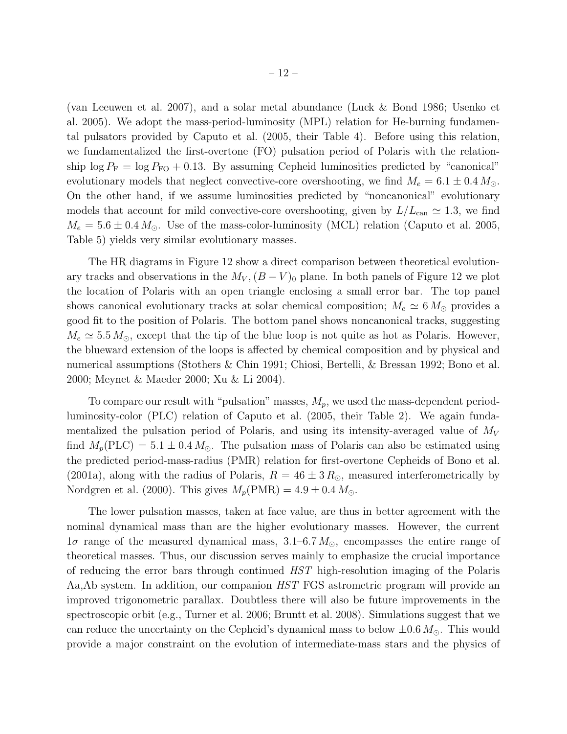(van Leeuwen et al. 2007), and a solar metal abundance (Luck & Bond 1986; Usenko et al. 2005). We adopt the mass-period-luminosity (MPL) relation for He-burning fundamental pulsators provided by Caputo et al. (2005, their Table 4). Before using this relation, we fundamentalized the first-overtone (FO) pulsation period of Polaris with the relationship  $\log P_{\rm F} = \log P_{\rm FO} + 0.13$ . By assuming Cepheid luminosities predicted by "canonical" evolutionary models that neglect convective-core overshooting, we find  $M_e = 6.1 \pm 0.4 M_{\odot}$ . On the other hand, if we assume luminosities predicted by "noncanonical" evolutionary models that account for mild convective-core overshooting, given by  $L/L_{\text{can}} \simeq 1.3$ , we find  $M_e = 5.6 \pm 0.4 M_{\odot}$ . Use of the mass-color-luminosity (MCL) relation (Caputo et al. 2005, Table 5) yields very similar evolutionary masses.

The HR diagrams in Figure 12 show a direct comparison between theoretical evolutionary tracks and observations in the  $M_V$ ,  $(B - V)_0$  plane. In both panels of Figure 12 we plot the location of Polaris with an open triangle enclosing a small error bar. The top panel shows canonical evolutionary tracks at solar chemical composition;  $M_e \simeq 6 M_{\odot}$  provides a good fit to the position of Polaris. The bottom panel shows noncanonical tracks, suggesting  $M_e \simeq 5.5 M_{\odot}$ , except that the tip of the blue loop is not quite as hot as Polaris. However, the blueward extension of the loops is affected by chemical composition and by physical and numerical assumptions (Stothers & Chin 1991; Chiosi, Bertelli, & Bressan 1992; Bono et al. 2000; Meynet & Maeder 2000; Xu & Li 2004).

To compare our result with "pulsation" masses,  $M_p$ , we used the mass-dependent periodluminosity-color (PLC) relation of Caputo et al. (2005, their Table 2). We again fundamentalized the pulsation period of Polaris, and using its intensity-averaged value of  $M_V$ find  $M_p(\text{PLC}) = 5.1 \pm 0.4 M_{\odot}$ . The pulsation mass of Polaris can also be estimated using the predicted period-mass-radius (PMR) relation for first-overtone Cepheids of Bono et al. (2001a), along with the radius of Polaris,  $R = 46 \pm 3 R_{\odot}$ , measured interferometrically by Nordgren et al. (2000). This gives  $M_p(\text{PMR}) = 4.9 \pm 0.4 M_\odot$ .

The lower pulsation masses, taken at face value, are thus in better agreement with the nominal dynamical mass than are the higher evolutionary masses. However, the current  $1\sigma$  range of the measured dynamical mass,  $3.1-6.7 M_{\odot}$ , encompasses the entire range of theoretical masses. Thus, our discussion serves mainly to emphasize the crucial importance of reducing the error bars through continued HST high-resolution imaging of the Polaris Aa,Ab system. In addition, our companion HST FGS astrometric program will provide an improved trigonometric parallax. Doubtless there will also be future improvements in the spectroscopic orbit (e.g., Turner et al. 2006; Bruntt et al. 2008). Simulations suggest that we can reduce the uncertainty on the Cepheid's dynamical mass to below  $\pm 0.6 M_{\odot}$ . This would provide a major constraint on the evolution of intermediate-mass stars and the physics of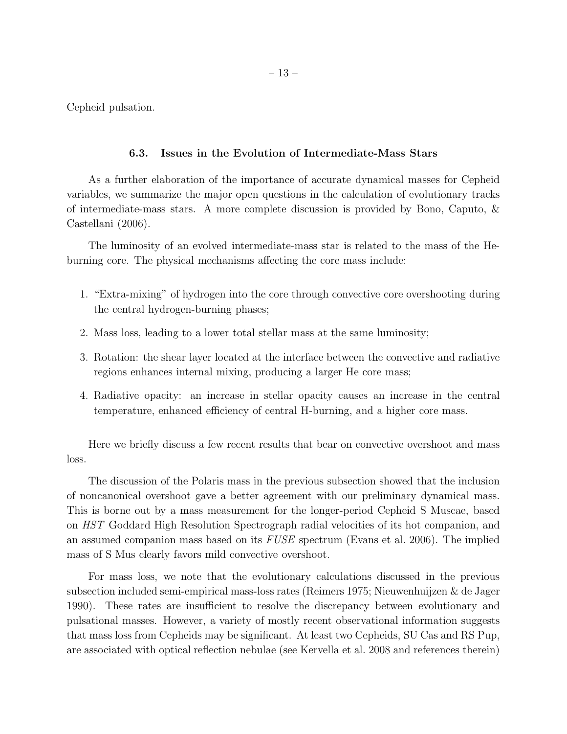Cepheid pulsation.

# 6.3. Issues in the Evolution of Intermediate-Mass Stars

As a further elaboration of the importance of accurate dynamical masses for Cepheid variables, we summarize the major open questions in the calculation of evolutionary tracks of intermediate-mass stars. A more complete discussion is provided by Bono, Caputo, & Castellani (2006).

The luminosity of an evolved intermediate-mass star is related to the mass of the Heburning core. The physical mechanisms affecting the core mass include:

- 1. "Extra-mixing" of hydrogen into the core through convective core overshooting during the central hydrogen-burning phases;
- 2. Mass loss, leading to a lower total stellar mass at the same luminosity;
- 3. Rotation: the shear layer located at the interface between the convective and radiative regions enhances internal mixing, producing a larger He core mass;
- 4. Radiative opacity: an increase in stellar opacity causes an increase in the central temperature, enhanced efficiency of central H-burning, and a higher core mass.

Here we briefly discuss a few recent results that bear on convective overshoot and mass loss.

The discussion of the Polaris mass in the previous subsection showed that the inclusion of noncanonical overshoot gave a better agreement with our preliminary dynamical mass. This is borne out by a mass measurement for the longer-period Cepheid S Muscae, based on HST Goddard High Resolution Spectrograph radial velocities of its hot companion, and an assumed companion mass based on its FUSE spectrum (Evans et al. 2006). The implied mass of S Mus clearly favors mild convective overshoot.

For mass loss, we note that the evolutionary calculations discussed in the previous subsection included semi-empirical mass-loss rates (Reimers 1975; Nieuwenhuijzen & de Jager 1990). These rates are insufficient to resolve the discrepancy between evolutionary and pulsational masses. However, a variety of mostly recent observational information suggests that mass loss from Cepheids may be significant. At least two Cepheids, SU Cas and RS Pup, are associated with optical reflection nebulae (see Kervella et al. 2008 and references therein)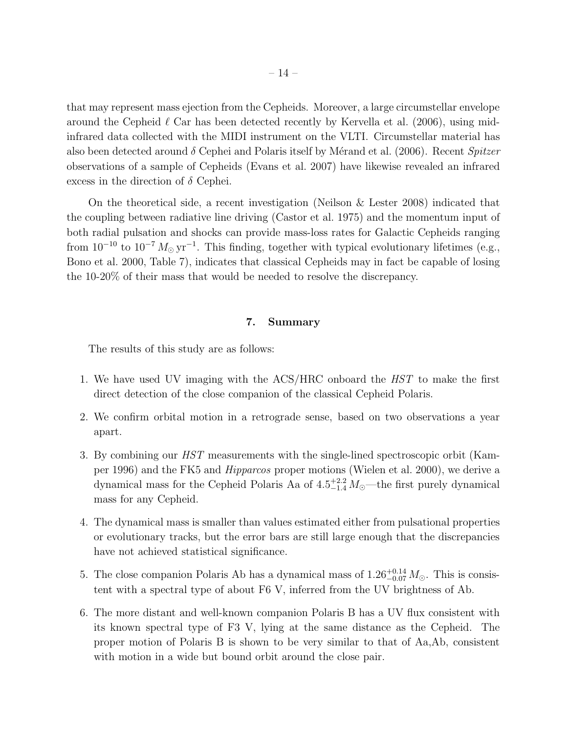that may represent mass ejection from the Cepheids. Moreover, a large circumstellar envelope around the Cepheid  $\ell$  Car has been detected recently by Kervella et al. (2006), using midinfrared data collected with the MIDI instrument on the VLTI. Circumstellar material has also been detected around  $\delta$  Cephei and Polaris itself by Mérand et al. (2006). Recent Spitzer observations of a sample of Cepheids (Evans et al. 2007) have likewise revealed an infrared excess in the direction of  $\delta$  Cephei.

On the theoretical side, a recent investigation (Neilson & Lester 2008) indicated that the coupling between radiative line driving (Castor et al. 1975) and the momentum input of both radial pulsation and shocks can provide mass-loss rates for Galactic Cepheids ranging from  $10^{-10}$  to  $10^{-7} M_{\odot} \text{yr}^{-1}$ . This finding, together with typical evolutionary lifetimes (e.g., Bono et al. 2000, Table 7), indicates that classical Cepheids may in fact be capable of losing the 10-20% of their mass that would be needed to resolve the discrepancy.

## 7. Summary

The results of this study are as follows:

- 1. We have used UV imaging with the ACS/HRC onboard the HST to make the first direct detection of the close companion of the classical Cepheid Polaris.
- 2. We confirm orbital motion in a retrograde sense, based on two observations a year apart.
- 3. By combining our HST measurements with the single-lined spectroscopic orbit (Kamper 1996) and the FK5 and Hipparcos proper motions (Wielen et al. 2000), we derive a dynamical mass for the Cepheid Polaris Aa of  $4.5^{+2.2}_{-1.4} M_{\odot}$ —the first purely dynamical mass for any Cepheid.
- 4. The dynamical mass is smaller than values estimated either from pulsational properties or evolutionary tracks, but the error bars are still large enough that the discrepancies have not achieved statistical significance.
- 5. The close companion Polaris Ab has a dynamical mass of  $1.26^{+0.14}_{-0.07} M_{\odot}$ . This is consistent with a spectral type of about F6 V, inferred from the UV brightness of Ab.
- 6. The more distant and well-known companion Polaris B has a UV flux consistent with its known spectral type of F3 V, lying at the same distance as the Cepheid. The proper motion of Polaris B is shown to be very similar to that of Aa,Ab, consistent with motion in a wide but bound orbit around the close pair.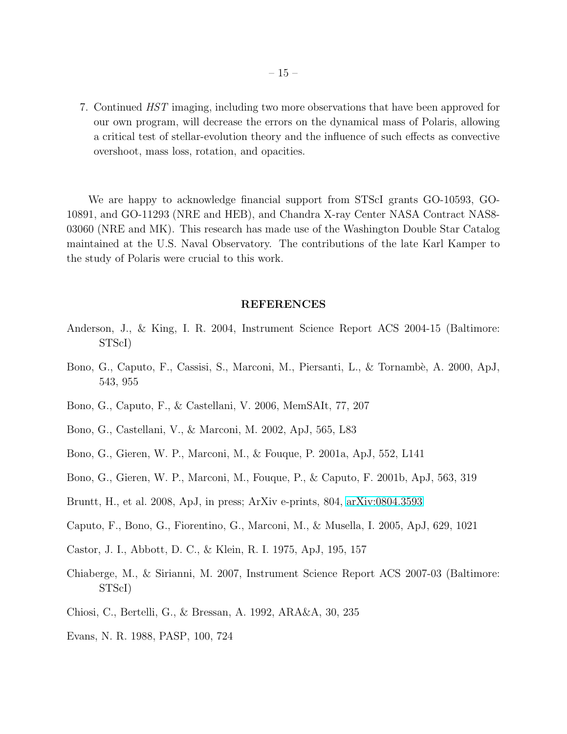7. Continued HST imaging, including two more observations that have been approved for our own program, will decrease the errors on the dynamical mass of Polaris, allowing a critical test of stellar-evolution theory and the influence of such effects as convective overshoot, mass loss, rotation, and opacities.

We are happy to acknowledge financial support from STScI grants GO-10593, GO-10891, and GO-11293 (NRE and HEB), and Chandra X-ray Center NASA Contract NAS8- 03060 (NRE and MK). This research has made use of the Washington Double Star Catalog maintained at the U.S. Naval Observatory. The contributions of the late Karl Kamper to the study of Polaris were crucial to this work.

#### REFERENCES

- Anderson, J., & King, I. R. 2004, Instrument Science Report ACS 2004-15 (Baltimore: STScI)
- Bono, G., Caputo, F., Cassisi, S., Marconi, M., Piersanti, L., & Tornambè, A. 2000, ApJ, 543, 955
- Bono, G., Caputo, F., & Castellani, V. 2006, MemSAIt, 77, 207
- Bono, G., Castellani, V., & Marconi, M. 2002, ApJ, 565, L83
- Bono, G., Gieren, W. P., Marconi, M., & Fouque, P. 2001a, ApJ, 552, L141
- Bono, G., Gieren, W. P., Marconi, M., Fouque, P., & Caputo, F. 2001b, ApJ, 563, 319
- Bruntt, H., et al. 2008, ApJ, in press; ArXiv e-prints, 804, [arXiv:0804.3593](http://arxiv.org/abs/0804.3593)
- Caputo, F., Bono, G., Fiorentino, G., Marconi, M., & Musella, I. 2005, ApJ, 629, 1021
- Castor, J. I., Abbott, D. C., & Klein, R. I. 1975, ApJ, 195, 157
- Chiaberge, M., & Sirianni, M. 2007, Instrument Science Report ACS 2007-03 (Baltimore: STScI)
- Chiosi, C., Bertelli, G., & Bressan, A. 1992, ARA&A, 30, 235
- Evans, N. R. 1988, PASP, 100, 724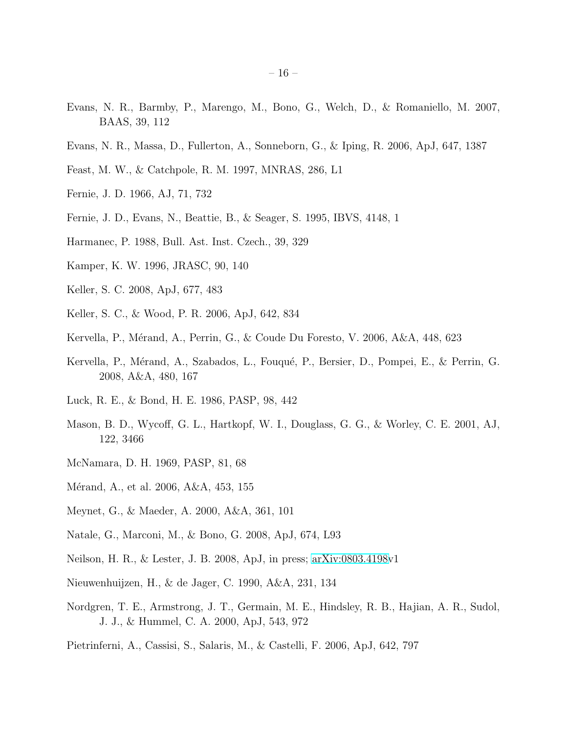- Evans, N. R., Barmby, P., Marengo, M., Bono, G., Welch, D., & Romaniello, M. 2007, BAAS, 39, 112
- Evans, N. R., Massa, D., Fullerton, A., Sonneborn, G., & Iping, R. 2006, ApJ, 647, 1387
- Feast, M. W., & Catchpole, R. M. 1997, MNRAS, 286, L1
- Fernie, J. D. 1966, AJ, 71, 732
- Fernie, J. D., Evans, N., Beattie, B., & Seager, S. 1995, IBVS, 4148, 1
- Harmanec, P. 1988, Bull. Ast. Inst. Czech., 39, 329
- Kamper, K. W. 1996, JRASC, 90, 140
- Keller, S. C. 2008, ApJ, 677, 483
- Keller, S. C., & Wood, P. R. 2006, ApJ, 642, 834
- Kervella, P., Mérand, A., Perrin, G., & Coude Du Foresto, V. 2006, A&A, 448, 623
- Kervella, P., Mérand, A., Szabados, L., Fouqué, P., Bersier, D., Pompei, E., & Perrin, G. 2008, A&A, 480, 167
- Luck, R. E., & Bond, H. E. 1986, PASP, 98, 442
- Mason, B. D., Wycoff, G. L., Hartkopf, W. I., Douglass, G. G., & Worley, C. E. 2001, AJ, 122, 3466
- McNamara, D. H. 1969, PASP, 81, 68
- Mérand, A., et al. 2006, A&A, 453, 155
- Meynet, G., & Maeder, A. 2000, A&A, 361, 101
- Natale, G., Marconi, M., & Bono, G. 2008, ApJ, 674, L93
- Neilson, H. R., & Lester, J. B. 2008, ApJ, in press; [arXiv:0803.4198v](http://arxiv.org/abs/0803.4198)1
- Nieuwenhuijzen, H., & de Jager, C. 1990, A&A, 231, 134
- Nordgren, T. E., Armstrong, J. T., Germain, M. E., Hindsley, R. B., Hajian, A. R., Sudol, J. J., & Hummel, C. A. 2000, ApJ, 543, 972
- Pietrinferni, A., Cassisi, S., Salaris, M., & Castelli, F. 2006, ApJ, 642, 797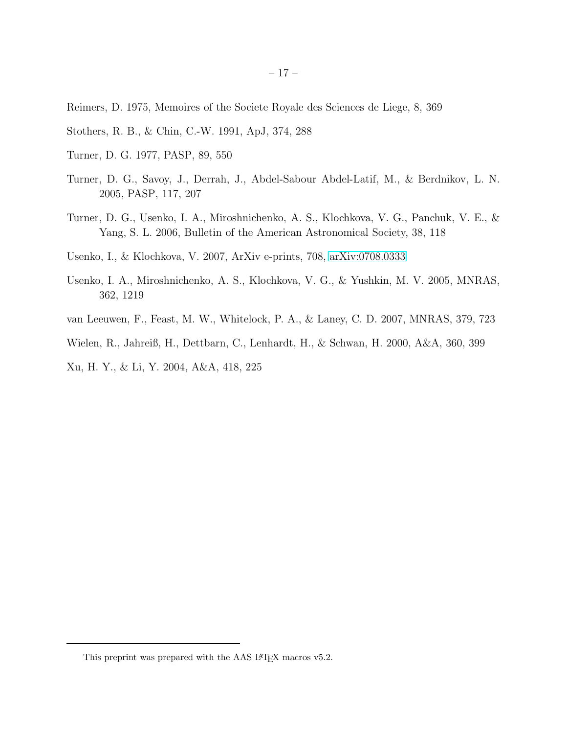Reimers, D. 1975, Memoires of the Societe Royale des Sciences de Liege, 8, 369

- Stothers, R. B., & Chin, C.-W. 1991, ApJ, 374, 288
- Turner, D. G. 1977, PASP, 89, 550
- Turner, D. G., Savoy, J., Derrah, J., Abdel-Sabour Abdel-Latif, M., & Berdnikov, L. N. 2005, PASP, 117, 207
- Turner, D. G., Usenko, I. A., Miroshnichenko, A. S., Klochkova, V. G., Panchuk, V. E., & Yang, S. L. 2006, Bulletin of the American Astronomical Society, 38, 118
- Usenko, I., & Klochkova, V. 2007, ArXiv e-prints, 708, [arXiv:0708.0333](http://arxiv.org/abs/0708.0333)
- Usenko, I. A., Miroshnichenko, A. S., Klochkova, V. G., & Yushkin, M. V. 2005, MNRAS, 362, 1219
- van Leeuwen, F., Feast, M. W., Whitelock, P. A., & Laney, C. D. 2007, MNRAS, 379, 723
- Wielen, R., Jahreiß, H., Dettbarn, C., Lenhardt, H., & Schwan, H. 2000, A&A, 360, 399

Xu, H. Y., & Li, Y. 2004, A&A, 418, 225

<span id="page-16-0"></span>This preprint was prepared with the AAS IATEX macros v5.2.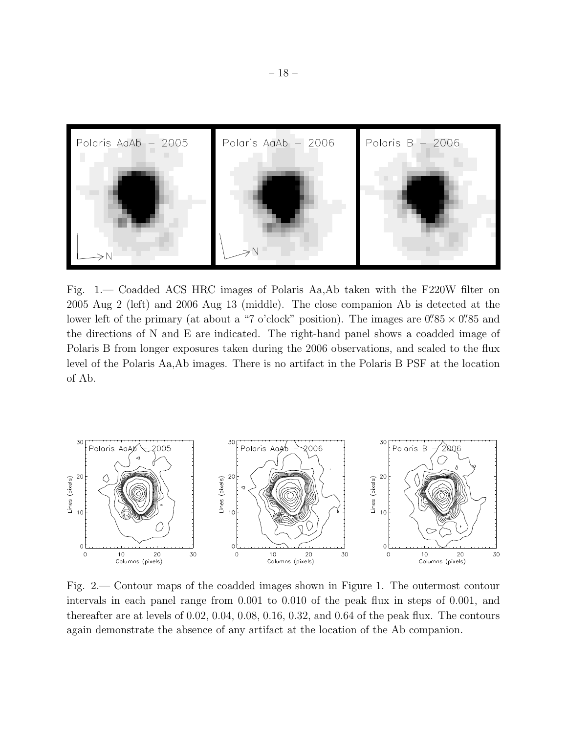

Fig. 1.— Coadded ACS HRC images of Polaris Aa,Ab taken with the F220W filter on 2005 Aug 2 (left) and 2006 Aug 13 (middle). The close companion Ab is detected at the lower left of the primary (at about a "7 o'clock" position). The images are  $0\rlap.{''}85 \times 0\rlap.{''}85$  and the directions of N and E are indicated. The right-hand panel shows a coadded image of Polaris B from longer exposures taken during the 2006 observations, and scaled to the flux level of the Polaris Aa,Ab images. There is no artifact in the Polaris B PSF at the location of Ab.



Fig. 2.— Contour maps of the coadded images shown in Figure 1. The outermost contour intervals in each panel range from 0.001 to 0.010 of the peak flux in steps of 0.001, and thereafter are at levels of 0.02, 0.04, 0.08, 0.16, 0.32, and 0.64 of the peak flux. The contours again demonstrate the absence of any artifact at the location of the Ab companion.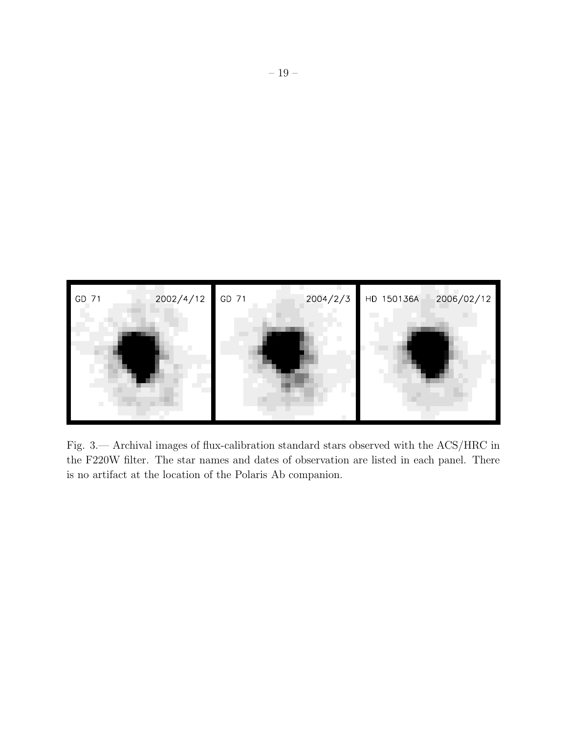

Fig. 3.— Archival images of flux-calibration standard stars observed with the ACS/HRC in the F220W filter. The star names and dates of observation are listed in each panel. There is no artifact at the location of the Polaris Ab companion.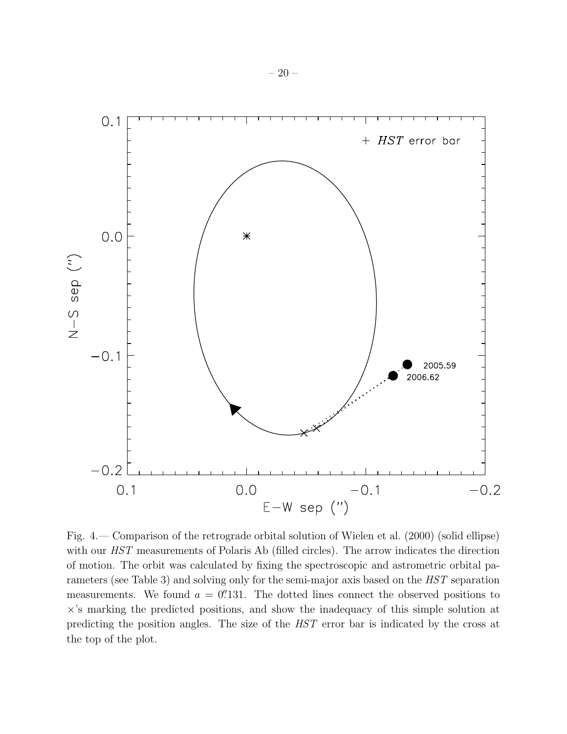

Fig. 4.— Comparison of the retrograde orbital solution of Wielen et al. (2000) (solid ellipse) with our *HST* measurements of Polaris Ab (filled circles). The arrow indicates the direction of motion. The orbit was calculated by fixing the spectroscopic and astrometric orbital parameters (see Table 3) and solving only for the semi-major axis based on the HST separation measurements. We found  $a = 0$ . The dotted lines connect the observed positions to ×'s marking the predicted positions, and show the inadequacy of this simple solution at predicting the position angles. The size of the HST error bar is indicated by the cross at the top of the plot.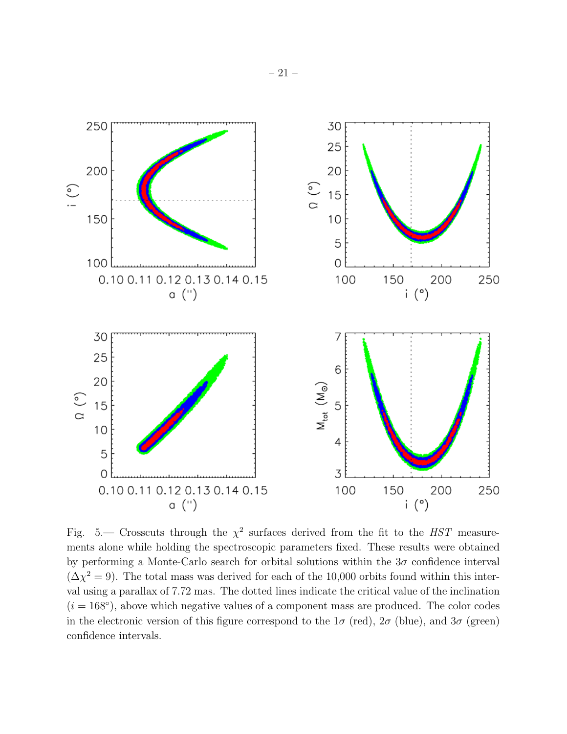

Fig. 5.— Crosscuts through the  $\chi^2$  surfaces derived from the fit to the HST measurements alone while holding the spectroscopic parameters fixed. These results were obtained by performing a Monte-Carlo search for orbital solutions within the  $3\sigma$  confidence interval  $(\Delta \chi^2 = 9)$ . The total mass was derived for each of the 10,000 orbits found within this interval using a parallax of 7.72 mas. The dotted lines indicate the critical value of the inclination  $(i = 168°)$ , above which negative values of a component mass are produced. The color codes in the electronic version of this figure correspond to the  $1\sigma$  (red),  $2\sigma$  (blue), and  $3\sigma$  (green) confidence intervals.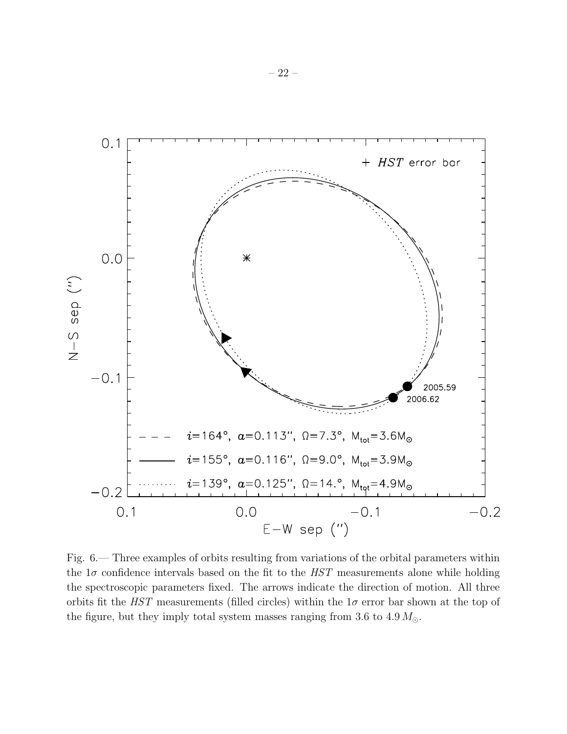

Fig. 6.— Three examples of orbits resulting from variations of the orbital parameters within the  $1\sigma$  confidence intervals based on the fit to the  $HST$  measurements alone while holding the spectroscopic parameters fixed. The arrows indicate the direction of motion. All three orbits fit the HST measurements (filled circles) within the  $1\sigma$  error bar shown at the top of the figure, but they imply total system masses ranging from 3.6 to 4.9  $M_{\odot}$ .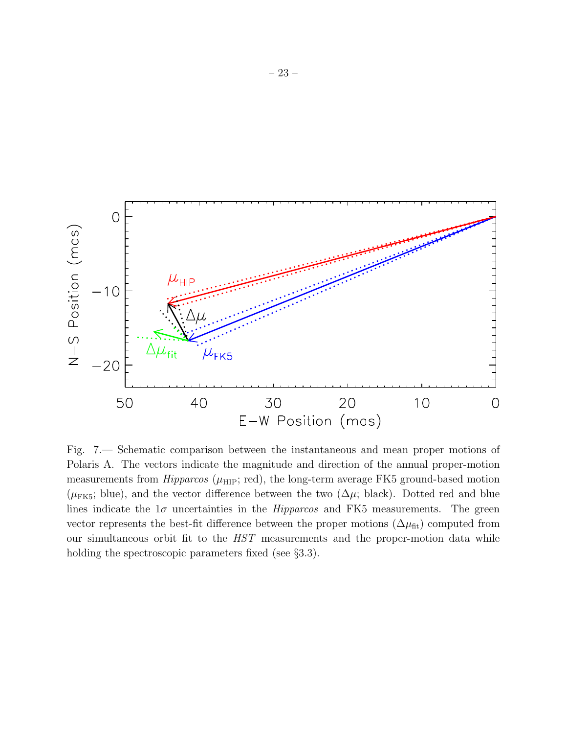

Fig. 7.— Schematic comparison between the instantaneous and mean proper motions of Polaris A. The vectors indicate the magnitude and direction of the annual proper-motion measurements from  $Hipparcos$  ( $\mu$ <sub>HIP</sub>; red), the long-term average FK5 ground-based motion  $(\mu_{FK5};$  blue), and the vector difference between the two  $(\Delta \mu;$  black). Dotted red and blue lines indicate the  $1\sigma$  uncertainties in the *Hipparcos* and FK5 measurements. The green vector represents the best-fit difference between the proper motions  $(\Delta \mu_{\text{fit}})$  computed from our simultaneous orbit fit to the HST measurements and the proper-motion data while holding the spectroscopic parameters fixed (see §3.3).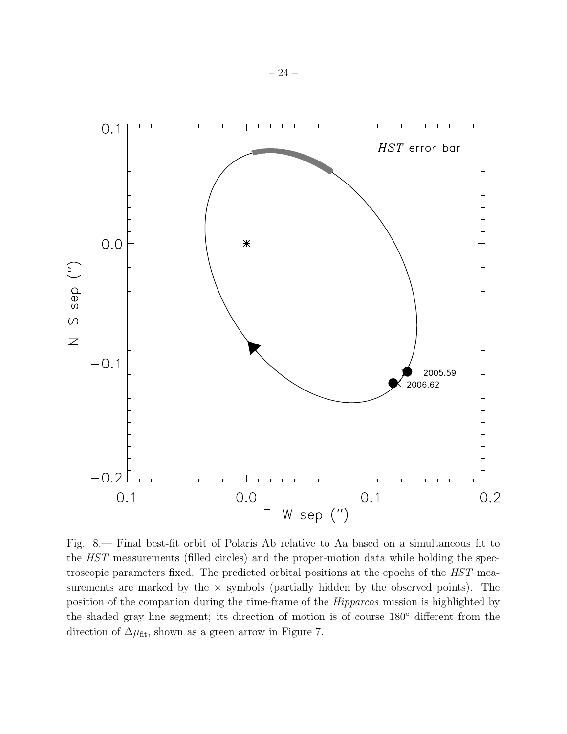

Fig. 8.— Final best-fit orbit of Polaris Ab relative to Aa based on a simultaneous fit to the HST measurements (filled circles) and the proper-motion data while holding the spectroscopic parameters fixed. The predicted orbital positions at the epochs of the HST measurements are marked by the  $\times$  symbols (partially hidden by the observed points). The position of the companion during the time-frame of the Hipparcos mission is highlighted by the shaded gray line segment; its direction of motion is of course 180◦ different from the direction of  $\Delta\mu_{\text{fit}}$ , shown as a green arrow in Figure 7.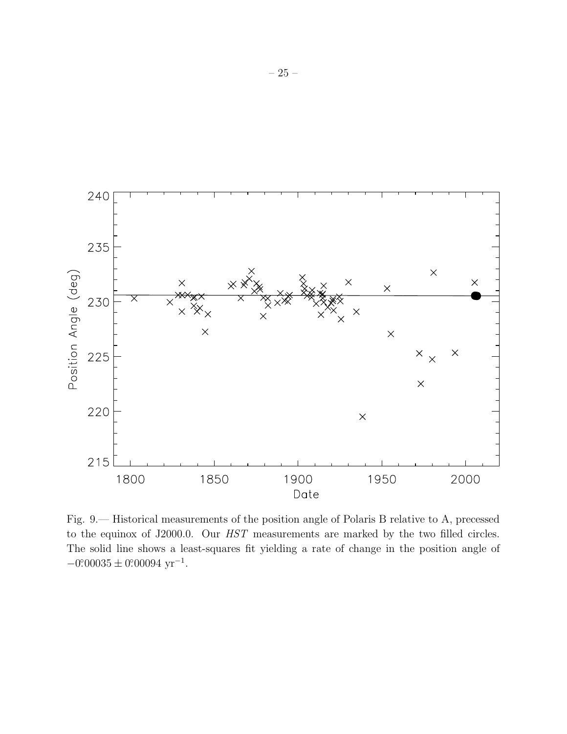

Fig. 9.— Historical measurements of the position angle of Polaris B relative to A, precessed to the equinox of J2000.0. Our HST measurements are marked by the two filled circles. The solid line shows a least-squares fit yielding a rate of change in the position angle of  $-0.00035 \pm 0.00094 \text{ yr}^{-1}$ .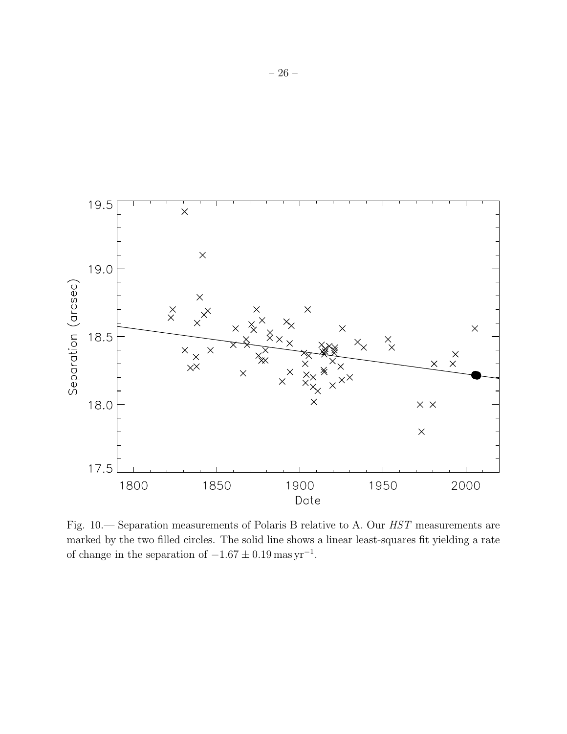

Fig. 10.— Separation measurements of Polaris B relative to A. Our HST measurements are marked by the two filled circles. The solid line shows a linear least-squares fit yielding a rate of change in the separation of  $-1.67 \pm 0.19$  mas yr<sup>-1</sup>.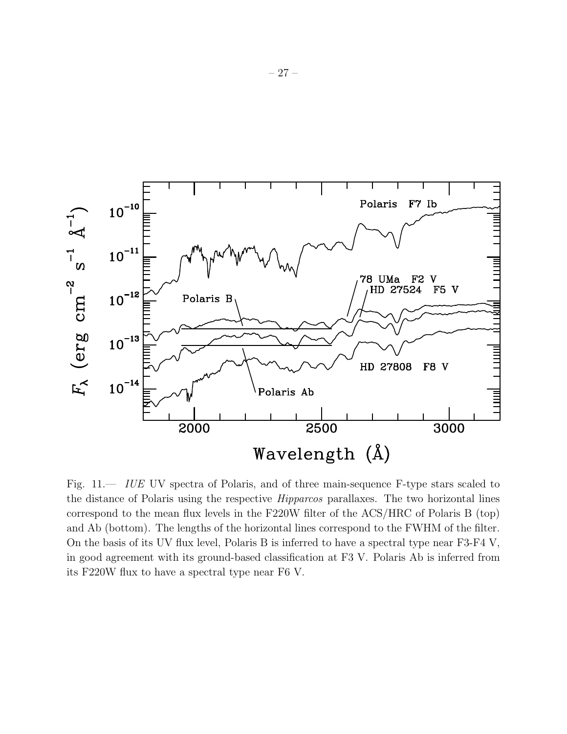

Fig. 11. IUE UV spectra of Polaris, and of three main-sequence F-type stars scaled to the distance of Polaris using the respective Hipparcos parallaxes. The two horizontal lines correspond to the mean flux levels in the F220W filter of the ACS/HRC of Polaris B (top) and Ab (bottom). The lengths of the horizontal lines correspond to the FWHM of the filter. On the basis of its UV flux level, Polaris B is inferred to have a spectral type near F3-F4 V, in good agreement with its ground-based classification at F3 V. Polaris Ab is inferred from its F220W flux to have a spectral type near F6 V.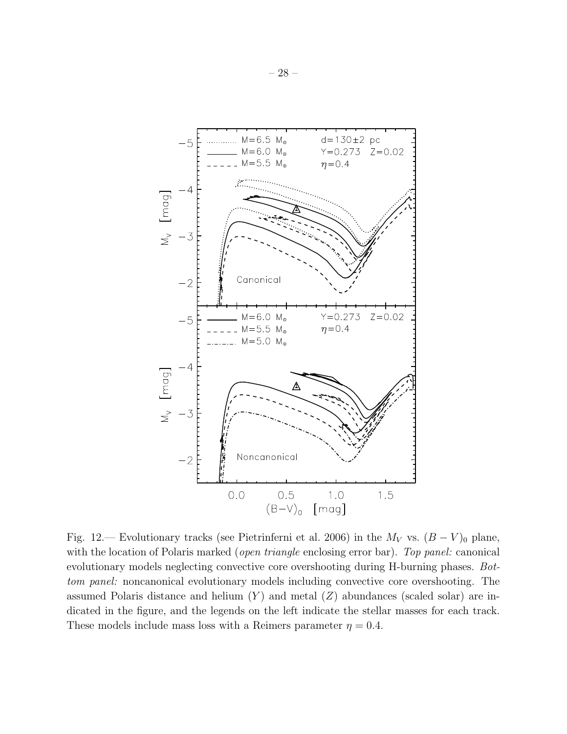

Fig. 12.— Evolutionary tracks (see Pietrinferni et al. 2006) in the  $M_V$  vs.  $(B - V)_0$  plane, with the location of Polaris marked (*open triangle* enclosing error bar). Top panel: canonical evolutionary models neglecting convective core overshooting during H-burning phases. Bottom panel: noncanonical evolutionary models including convective core overshooting. The assumed Polaris distance and helium  $(Y)$  and metal  $(Z)$  abundances (scaled solar) are indicated in the figure, and the legends on the left indicate the stellar masses for each track. These models include mass loss with a Reimers parameter  $\eta = 0.4$ .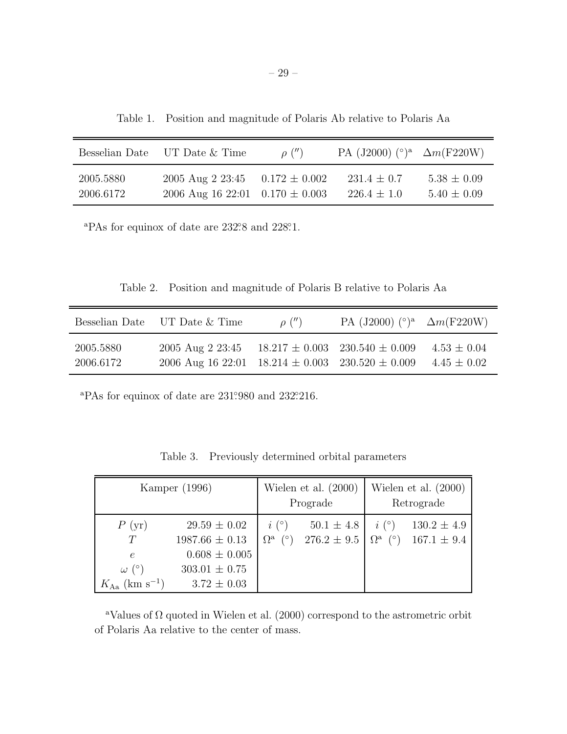Table 1. Position and magnitude of Polaris Ab relative to Polaris Aa

|           | Besselian Date UT Date & Time       | $\rho''$ | PA (J2000) $(°)^a$ $\Delta m$ (F220W) |                 |
|-----------|-------------------------------------|----------|---------------------------------------|-----------------|
| 2005.5880 | 2005 Aug 2 23:45 $0.172 \pm 0.002$  |          | $231.4 \pm 0.7$                       | $5.38 \pm 0.09$ |
| 2006.6172 | 2006 Aug 16 22:01 $0.170 \pm 0.003$ |          | $226.4 \pm 1.0$                       | $5.40 \pm 0.09$ |

<sup>a</sup>PAs for equinox of date are 232°.8 and 228°.1.

Table 2. Position and magnitude of Polaris B relative to Polaris Aa

|                        | Besselian Date UT Date & Time                                                | $\rho''$ | PA (J2000) $({}^{\circ})^a$ $\Delta m$ (F220W) |                                    |
|------------------------|------------------------------------------------------------------------------|----------|------------------------------------------------|------------------------------------|
| 2005.5880<br>2006.6172 | 2005 Aug 2 23:45<br>2006 Aug 16 22:01 18.214 $\pm$ 0.003 230.520 $\pm$ 0.009 |          | $18.217 \pm 0.003$ $230.540 \pm 0.009$         | $4.53 \pm 0.04$<br>$4.45 \pm 0.02$ |

 ${}^{\text{a}}$ PAs for equinox of date are 231°.980 and 232°.216.

| Table 3. |  |  |  | Previously determined orbital parameters |
|----------|--|--|--|------------------------------------------|
|----------|--|--|--|------------------------------------------|

| Kamper (1996)                                                              |                                                                                                     | Wielen et al. $(2000)$<br>Prograde      |                                   | Wielen et al. $(2000)$<br>Retrograde |                                                         |
|----------------------------------------------------------------------------|-----------------------------------------------------------------------------------------------------|-----------------------------------------|-----------------------------------|--------------------------------------|---------------------------------------------------------|
| P(yr)<br>T<br>$\epsilon$<br>$\omega$ (°)<br>$K_{\rm Aa}~({\rm km~s^{-1}})$ | $29.59 \pm 0.02$<br>$1987.66 \pm 0.13$<br>$0.608 \pm 0.005$<br>$303.01 \pm 0.75$<br>$3.72 \pm 0.03$ | $i\binom{\circ}{ }$<br>$\Omega^{a}$ (°) | $50.1 \pm 4.8$<br>$276.2 \pm 9.5$ | $i^{\circ}$                          | $130.2 \pm 4.9$<br>$\Omega^{\rm a}$ (°) $167.1 \pm 9.4$ |

<sup>a</sup>Values of  $\Omega$  quoted in Wielen et al. (2000) correspond to the astrometric orbit of Polaris Aa relative to the center of mass.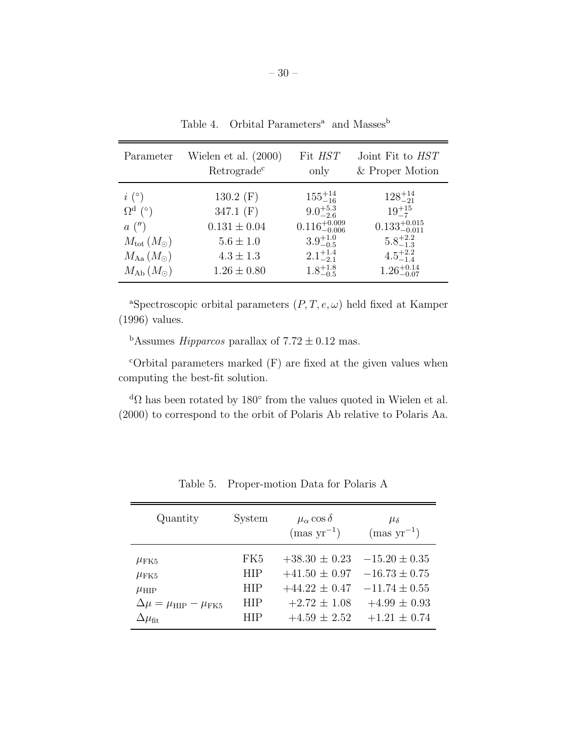| Parameter                              | Wielen et al. $(2000)$<br>Retrograde <sup>c</sup> | Fit HST<br>only           | Joint Fit to HST<br>& Proper Motion |
|----------------------------------------|---------------------------------------------------|---------------------------|-------------------------------------|
| $i\left( \circ \right)$                | 130.2 $(F)$                                       | $155^{+14}_{-16}$         | $128^{+14}_{-21}$                   |
| $\Omega^{\rm d}$ (°)                   | 347.1 $(F)$                                       | $9.0^{+5.3}_{-2.6}$       | $19^{+15}_{-7}$                     |
| a''                                    | $0.131 \pm 0.04$                                  | $0.116^{+0.009}_{-0.006}$ | $0.133^{+0.015}_{-0.011}$           |
| $M_{\text{tot}}\left(M_{\odot}\right)$ | $5.6 \pm 1.0$                                     | $3.9^{+1.0}_{-0.5}$       | $5.8^{+2.2}_{-1.3}$                 |
| $M_{\rm Aa} (M_{\odot})$               | $4.3 \pm 1.3$                                     | $2.1_{-2.1}^{+1.4}$       | $4.5^{+2.2}_{-1.4}$                 |
| $M_{\rm Ab} (M_{\odot})$               | $1.26 \pm 0.80$                                   | $1.8^{+1.8}_{-0.5}$       | $1.26^{+0.14}_{-0.07}$              |

Table 4. Orbital Parameters<sup>a</sup> and Masses<sup>b</sup>

<sup>a</sup>Spectroscopic orbital parameters  $(P, T, e, \omega)$  held fixed at Kamper (1996) values.

 $1.8^{+1.8}_{-0.5}$ 

 $^{+1.8}_{-0.5}$  1.26<sup>+0.14</sup><br> $^{1.8}_{-0.07}$ 

<sup>b</sup>Assumes *Hipparcos* parallax of  $7.72 \pm 0.12$  mas.

 $M_{\rm Ab} (M_{\odot})$ 

 $c$ Orbital parameters marked  $(F)$  are fixed at the given values when computing the best-fit solution.

 ${}^{d}Ω$  has been rotated by 180 $^{\circ}$  from the values quoted in Wielen et al. (2000) to correspond to the orbit of Polaris Ab relative to Polaris Aa.

| Quantity                                     | System          | $\mu_{\alpha}$ cos $\delta$<br>$\text{(mas yr}^{-1})$ | $\mu_{\delta}$<br>$\text{(mas yr}^{-1})$ |
|----------------------------------------------|-----------------|-------------------------------------------------------|------------------------------------------|
| $\mu_{\text{FK}5}$                           | FK <sub>5</sub> | $+38.30 \pm 0.23$                                     | $-15.20 \pm 0.35$                        |
| $\mu$ FK5                                    | <b>HIP</b>      | $+41.50 \pm 0.97$                                     | $-16.73 \pm 0.75$                        |
| $\mu_{\rm HIP}$                              | HIP             | $+44.22 \pm 0.47$                                     | $-11.74 \pm 0.55$                        |
| $\Delta \mu = \mu_{\rm HIP} - \mu_{\rm FK5}$ | <b>HIP</b>      | $+2.72 \pm 1.08$                                      | $+4.99 \pm 0.93$                         |
| $\Delta\mu_{\rm fit}$                        | HІР             | $+4.59 \pm 2.52$                                      | $+1.21 \pm 0.74$                         |

Table 5. Proper-motion Data for Polaris A